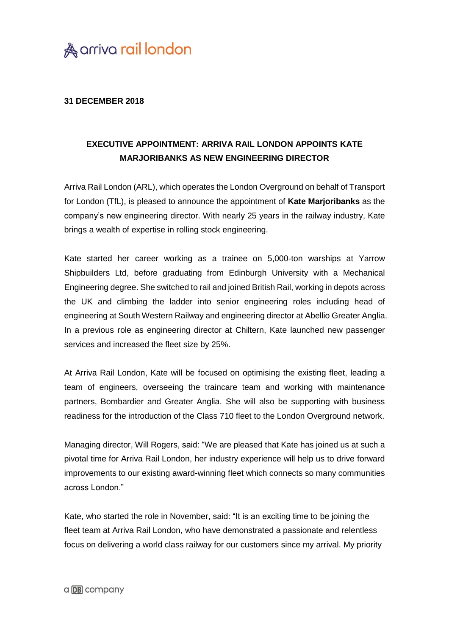

## **31 DECEMBER 2018**

## **EXECUTIVE APPOINTMENT: ARRIVA RAIL LONDON APPOINTS KATE MARJORIBANKS AS NEW ENGINEERING DIRECTOR**

Arriva Rail London (ARL), which operates the London Overground on behalf of Transport for London (TfL), is pleased to announce the appointment of **Kate Marjoribanks** as the company's new engineering director. With nearly 25 years in the railway industry, Kate brings a wealth of expertise in rolling stock engineering.

Kate started her career working as a trainee on 5,000-ton warships at Yarrow Shipbuilders Ltd, before graduating from Edinburgh University with a Mechanical Engineering degree. She switched to rail and joined British Rail, working in depots across the UK and climbing the ladder into senior engineering roles including head of engineering at South Western Railway and engineering director at Abellio Greater Anglia. In a previous role as engineering director at Chiltern, Kate launched new passenger services and increased the fleet size by 25%.

At Arriva Rail London, Kate will be focused on optimising the existing fleet, leading a team of engineers, overseeing the traincare team and working with maintenance partners, Bombardier and Greater Anglia. She will also be supporting with business readiness for the introduction of the Class 710 fleet to the London Overground network.

Managing director, Will Rogers, said: "We are pleased that Kate has joined us at such a pivotal time for Arriva Rail London, her industry experience will help us to drive forward improvements to our existing award-winning fleet which connects so many communities across London."

Kate, who started the role in November, said: "It is an exciting time to be joining the fleet team at Arriva Rail London, who have demonstrated a passionate and relentless focus on delivering a world class railway for our customers since my arrival. My priority